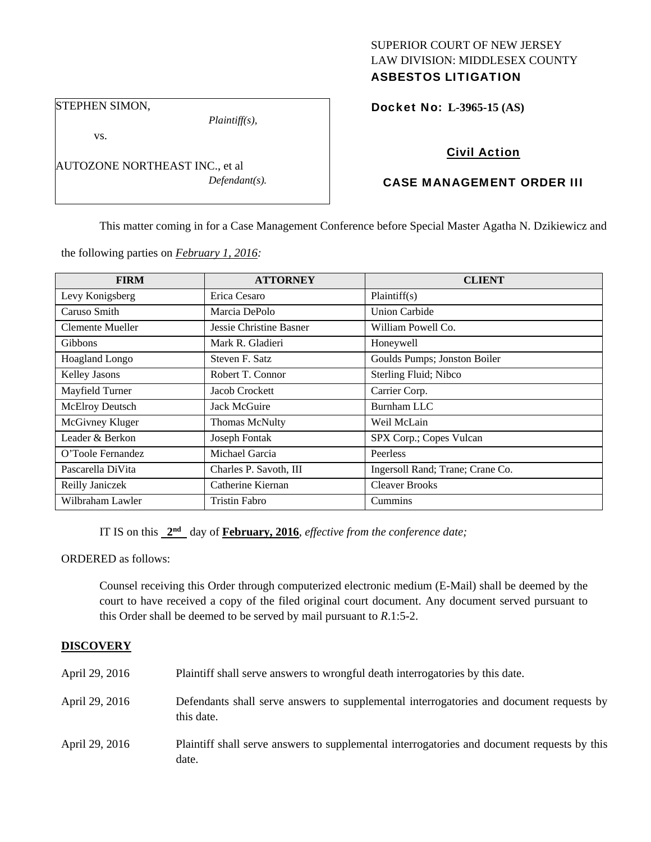## SUPERIOR COURT OF NEW JERSEY LAW DIVISION: MIDDLESEX COUNTY ASBESTOS LITIGATION

STEPHEN SIMON,

*Plaintiff(s),* 

vs.

AUTOZONE NORTHEAST INC., et al *Defendant(s).*  Docket No: **L-3965-15 (AS)** 

# Civil Action

## CASE MANAGEMENT ORDER III

This matter coming in for a Case Management Conference before Special Master Agatha N. Dzikiewicz and

the following parties on *February 1, 2016:* 

| <b>FIRM</b>       | <b>ATTORNEY</b>         | <b>CLIENT</b>                    |
|-------------------|-------------------------|----------------------------------|
| Levy Konigsberg   | Erica Cesaro            | Plaintiff(s)                     |
| Caruso Smith      | Marcia DePolo           | <b>Union Carbide</b>             |
| Clemente Mueller  | Jessie Christine Basner | William Powell Co.               |
| <b>Gibbons</b>    | Mark R. Gladieri        | Honeywell                        |
| Hoagland Longo    | Steven F. Satz          | Goulds Pumps; Jonston Boiler     |
| Kelley Jasons     | Robert T. Connor        | Sterling Fluid; Nibco            |
| Mayfield Turner   | Jacob Crockett          | Carrier Corp.                    |
| McElroy Deutsch   | Jack McGuire            | Burnham LLC                      |
| McGivney Kluger   | Thomas McNulty          | Weil McLain                      |
| Leader & Berkon   | Joseph Fontak           | SPX Corp.; Copes Vulcan          |
| O'Toole Fernandez | Michael Garcia          | Peerless                         |
| Pascarella DiVita | Charles P. Savoth, III  | Ingersoll Rand; Trane; Crane Co. |
| Reilly Janiczek   | Catherine Kiernan       | <b>Cleaver Brooks</b>            |
| Wilbraham Lawler  | <b>Tristin Fabro</b>    | Cummins                          |

IT IS on this **2nd** day of **February, 2016**, *effective from the conference date;*

ORDERED as follows:

Counsel receiving this Order through computerized electronic medium (E-Mail) shall be deemed by the court to have received a copy of the filed original court document. Any document served pursuant to this Order shall be deemed to be served by mail pursuant to *R*.1:5-2.

## **DISCOVERY**

| April 29, 2016 | Plaintiff shall serve answers to wrongful death interrogatories by this date.                         |
|----------------|-------------------------------------------------------------------------------------------------------|
| April 29, 2016 | Defendants shall serve answers to supplemental interrogatories and document requests by<br>this date. |
| April 29, 2016 | Plaintiff shall serve answers to supplemental interrogatories and document requests by this<br>date.  |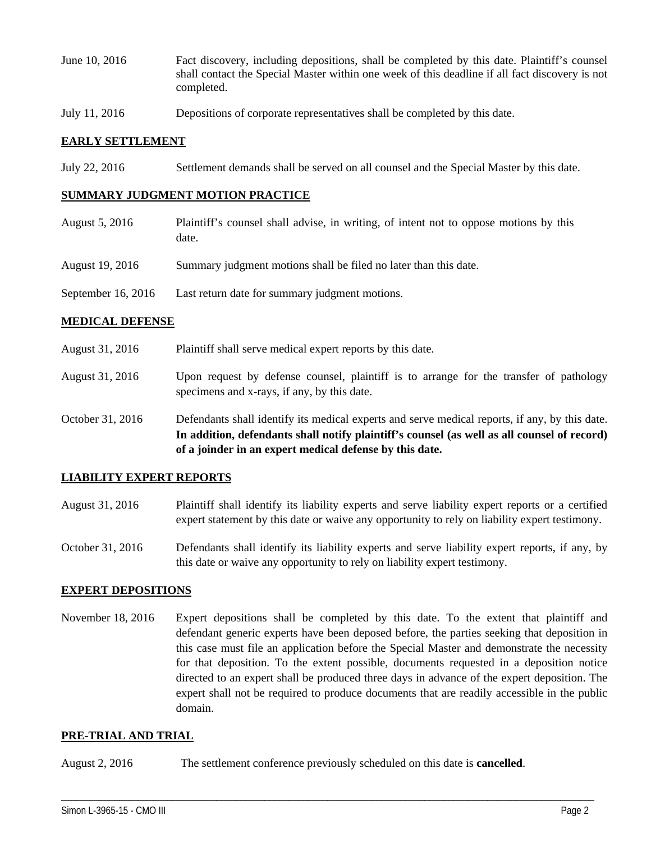- June 10, 2016 Fact discovery, including depositions, shall be completed by this date. Plaintiff's counsel shall contact the Special Master within one week of this deadline if all fact discovery is not completed.
- July 11, 2016 Depositions of corporate representatives shall be completed by this date.

### **EARLY SETTLEMENT**

July 22, 2016 Settlement demands shall be served on all counsel and the Special Master by this date.

#### **SUMMARY JUDGMENT MOTION PRACTICE**

- August 5, 2016 Plaintiff's counsel shall advise, in writing, of intent not to oppose motions by this date.
- August 19, 2016 Summary judgment motions shall be filed no later than this date.
- September 16, 2016 Last return date for summary judgment motions.

#### **MEDICAL DEFENSE**

- August 31, 2016 Plaintiff shall serve medical expert reports by this date.
- August 31, 2016 Upon request by defense counsel, plaintiff is to arrange for the transfer of pathology specimens and x-rays, if any, by this date.
- October 31, 2016 Defendants shall identify its medical experts and serve medical reports, if any, by this date. **In addition, defendants shall notify plaintiff's counsel (as well as all counsel of record) of a joinder in an expert medical defense by this date.**

#### **LIABILITY EXPERT REPORTS**

- August 31, 2016 Plaintiff shall identify its liability experts and serve liability expert reports or a certified expert statement by this date or waive any opportunity to rely on liability expert testimony.
- October 31, 2016 Defendants shall identify its liability experts and serve liability expert reports, if any, by this date or waive any opportunity to rely on liability expert testimony.

#### **EXPERT DEPOSITIONS**

November 18, 2016 Expert depositions shall be completed by this date. To the extent that plaintiff and defendant generic experts have been deposed before, the parties seeking that deposition in this case must file an application before the Special Master and demonstrate the necessity for that deposition. To the extent possible, documents requested in a deposition notice directed to an expert shall be produced three days in advance of the expert deposition. The expert shall not be required to produce documents that are readily accessible in the public domain.

\_\_\_\_\_\_\_\_\_\_\_\_\_\_\_\_\_\_\_\_\_\_\_\_\_\_\_\_\_\_\_\_\_\_\_\_\_\_\_\_\_\_\_\_\_\_\_\_\_\_\_\_\_\_\_\_\_\_\_\_\_\_\_\_\_\_\_\_\_\_\_\_\_\_\_\_\_\_\_\_\_\_\_\_\_\_\_\_\_\_\_\_\_\_\_\_\_\_\_\_\_\_\_\_\_\_\_\_\_\_

#### **PRE-TRIAL AND TRIAL**

August 2, 2016 The settlement conference previously scheduled on this date is **cancelled**.